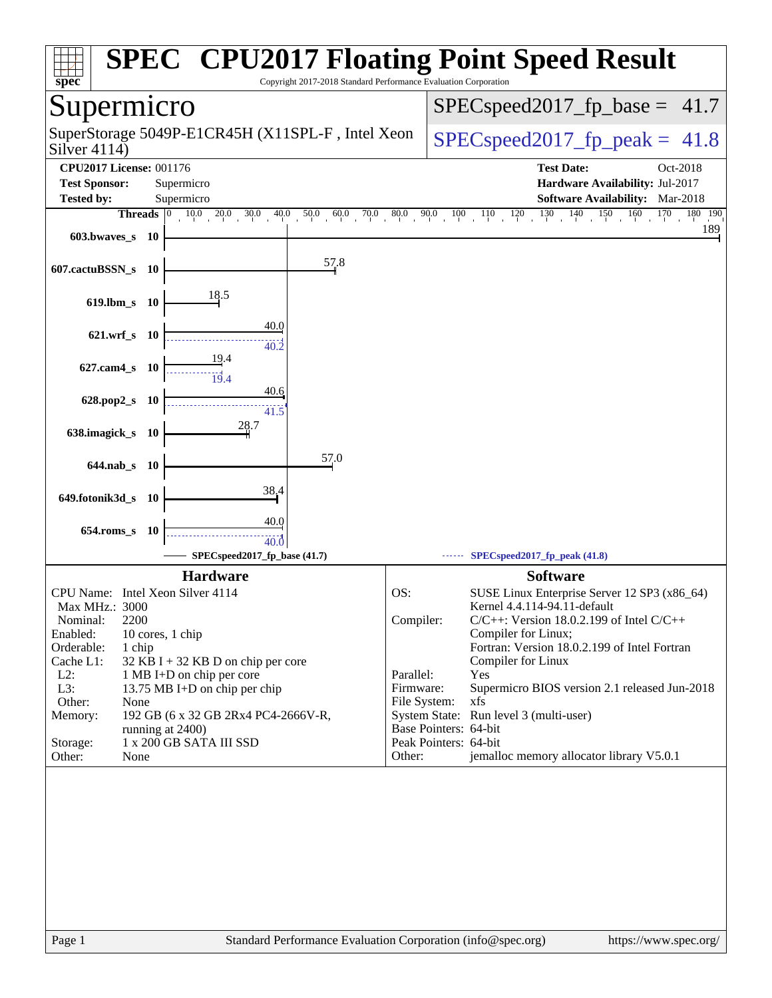| Copyright 2017-2018 Standard Performance Evaluation Corporation<br>$spec^*$                                           | <b>SPEC<sup>®</sup> CPU2017 Floating Point Speed Result</b>                                |
|-----------------------------------------------------------------------------------------------------------------------|--------------------------------------------------------------------------------------------|
| Supermicro                                                                                                            | $SPEC speed2017_f p\_base = 41.7$                                                          |
| SuperStorage 5049P-E1CR45H (X11SPL-F, Intel Xeon<br>Silver $4114$ )                                                   | $SPEC speed2017_fp\_peak = 41.8$                                                           |
| <b>CPU2017 License: 001176</b>                                                                                        | <b>Test Date:</b><br>Oct-2018                                                              |
| <b>Test Sponsor:</b><br>Supermicro                                                                                    | Hardware Availability: Jul-2017                                                            |
| <b>Tested by:</b><br>Supermicro                                                                                       | Software Availability: Mar-2018                                                            |
| <b>Threads</b> $\begin{bmatrix} 0 & 10.0 & 20.0 & 30.0 & 40.0 & 50.0 & 60.0 & 70.0 & 80.0 & 90.0 & 100 \end{bmatrix}$ | 130<br>140<br>150<br>160<br>170<br>$110 \t 120$<br>180 190                                 |
| 603.bwaves s 10                                                                                                       | 189                                                                                        |
| 57.8<br>607.cactuBSSN_s 10                                                                                            |                                                                                            |
| 18.5<br>$619$ .lbm_s<br>- 10                                                                                          |                                                                                            |
| 40.0<br>621.wrf s 10                                                                                                  |                                                                                            |
| 40.2<br>627.cam4_s 10                                                                                                 |                                                                                            |
| 19.4<br>40.6<br>628.pop2_s<br>- 10                                                                                    |                                                                                            |
| 41.5<br>28.7<br>638.imagick_s 10                                                                                      |                                                                                            |
| 57.0<br>644.nab_s 10                                                                                                  |                                                                                            |
| 38.4                                                                                                                  |                                                                                            |
| 649.fotonik3d_s<br>- 10                                                                                               |                                                                                            |
| 40.0<br>654.roms s 10<br>40.0                                                                                         |                                                                                            |
| SPECspeed2017_fp_base (41.7)                                                                                          | SPECspeed2017_fp_peak (41.8)                                                               |
| <b>Hardware</b>                                                                                                       | <b>Software</b>                                                                            |
| CPU Name: Intel Xeon Silver 4114                                                                                      | OS:<br>SUSE Linux Enterprise Server 12 SP3 (x86_64)                                        |
| Max MHz.: 3000<br>2200<br>Nominal:                                                                                    | Kernel 4.4.114-94.11-default<br>Compiler:<br>$C/C++$ : Version 18.0.2.199 of Intel $C/C++$ |
| Enabled:<br>10 cores, 1 chip                                                                                          | Compiler for Linux;                                                                        |
| 1 chip<br>Orderable:                                                                                                  | Fortran: Version 18.0.2.199 of Intel Fortran                                               |
| Cache L1:<br>32 KB I + 32 KB D on chip per core<br>$L2$ :<br>1 MB I+D on chip per core                                | Compiler for Linux<br>Parallel:<br>Yes                                                     |
| L3:<br>13.75 MB I+D on chip per chip                                                                                  | Firmware:<br>Supermicro BIOS version 2.1 released Jun-2018                                 |
| Other:<br>None                                                                                                        | File System:<br>xfs                                                                        |
| 192 GB (6 x 32 GB 2Rx4 PC4-2666V-R,<br>Memory:                                                                        | System State: Run level 3 (multi-user)<br>Base Pointers: 64-bit                            |
| running at 2400)<br>1 x 200 GB SATA III SSD<br>Storage:                                                               | Peak Pointers: 64-bit                                                                      |
| Other:<br>None                                                                                                        | jemalloc memory allocator library V5.0.1<br>Other:                                         |
|                                                                                                                       |                                                                                            |
|                                                                                                                       |                                                                                            |
|                                                                                                                       |                                                                                            |
|                                                                                                                       |                                                                                            |
|                                                                                                                       |                                                                                            |
|                                                                                                                       |                                                                                            |
|                                                                                                                       |                                                                                            |
|                                                                                                                       |                                                                                            |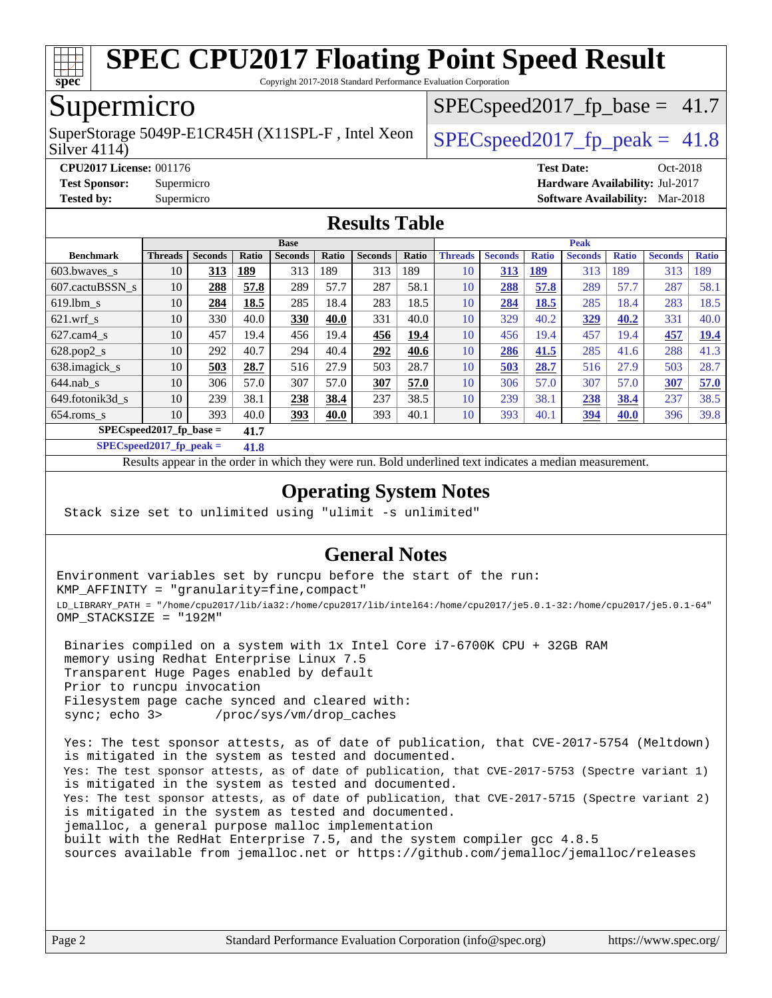

Copyright 2017-2018 Standard Performance Evaluation Corporation

# Supermicro

Silver 4114) SuperStorage 5049P-E1CR45H (X11SPL-F, Intel Xeon  $\big|$  SPECspeed2017 fp\_peak = 41.8

 $SPECspeed2017<sub>fp</sub> base = 41.7$ 

**[CPU2017 License:](http://www.spec.org/auto/cpu2017/Docs/result-fields.html#CPU2017License)** 001176 **[Test Date:](http://www.spec.org/auto/cpu2017/Docs/result-fields.html#TestDate)** Oct-2018 **[Test Sponsor:](http://www.spec.org/auto/cpu2017/Docs/result-fields.html#TestSponsor)** Supermicro **[Hardware Availability:](http://www.spec.org/auto/cpu2017/Docs/result-fields.html#HardwareAvailability)** Jul-2017 **[Tested by:](http://www.spec.org/auto/cpu2017/Docs/result-fields.html#Testedby)** Supermicro **[Software Availability:](http://www.spec.org/auto/cpu2017/Docs/result-fields.html#SoftwareAvailability)** Mar-2018

#### **[Results Table](http://www.spec.org/auto/cpu2017/Docs/result-fields.html#ResultsTable)**

| <b>Base</b>                        |                |                |              |                | <b>Peak</b>  |                |       |                |                |              |                |              |                |              |
|------------------------------------|----------------|----------------|--------------|----------------|--------------|----------------|-------|----------------|----------------|--------------|----------------|--------------|----------------|--------------|
| <b>Benchmark</b>                   | <b>Threads</b> | <b>Seconds</b> | <b>Ratio</b> | <b>Seconds</b> | <b>Ratio</b> | <b>Seconds</b> | Ratio | <b>Threads</b> | <b>Seconds</b> | <b>Ratio</b> | <b>Seconds</b> | <b>Ratio</b> | <b>Seconds</b> | <b>Ratio</b> |
| 603.bwayes s                       | 10             | 313            | <u>189</u>   | 313            | 189          | 313            | 189   | 10             | 313            | 189          | 313            | 189          | 313            | 189          |
| 607.cactuBSSN s                    | 10             | 288            | 57.8         | 289            | 57.7         | 287            | 58.1  | 10             | 288            | 57.8         | 289            | 57.7         | 287            | 58.1         |
| $619.1$ bm s                       | 10             | 284            | 18.5         | 285            | 18.4         | 283            | 18.5  | 10             | 284            | 18.5         | 285            | 18.4         | 283            | 18.5         |
| $621$ .wrf s                       | 10             | 330            | 40.0         | 330            | 40.0         | 331            | 40.0  | 10             | 329            | 40.2         | 329            | 40.2         | 331            | 40.0         |
| $627.cam4_s$                       | 10             | 457            | 19.4         | 456            | 19.4         | 456            | 19.4  | 10             | 456            | 19.4         | 457            | 19.4         | 457            | <u>19.4</u>  |
| $628.pop2_s$                       | 10             | 292            | 40.7         | 294            | 40.4         | 292            | 40.6  | 10             | 286            | 41.5         | 285            | 41.6         | 288            | 41.3         |
| 638.imagick_s                      | 10             | 503            | 28.7         | 516            | 27.9         | 503            | 28.7  | 10             | 503            | 28.7         | 516            | 27.9         | 503            | 28.7         |
| $644$ .nab s                       | 10             | 306            | 57.0         | 307            | 57.0         | 307            | 57.0  | 10             | 306            | 57.0         | 307            | 57.0         | 307            | 57.0         |
| 649.fotonik3d s                    | 10             | 239            | 38.1         | 238            | 38.4         | 237            | 38.5  | 10             | 239            | 38.1         | 238            | 38.4         | 237            | 38.5         |
| $654$ .roms s                      | 10             | 393            | 40.0         | 393            | 40.0         | 393            | 40.1  | 10             | 393            | 40.1         | <u>394</u>     | <b>40.0</b>  | 396            | 39.8         |
| $SPEC speed2017$ fp base =<br>41.7 |                |                |              |                |              |                |       |                |                |              |                |              |                |              |

**[SPECspeed2017\\_fp\\_peak =](http://www.spec.org/auto/cpu2017/Docs/result-fields.html#SPECspeed2017fppeak) 41.8**

Results appear in the [order in which they were run.](http://www.spec.org/auto/cpu2017/Docs/result-fields.html#RunOrder) Bold underlined text [indicates a median measurement](http://www.spec.org/auto/cpu2017/Docs/result-fields.html#Median).

### **[Operating System Notes](http://www.spec.org/auto/cpu2017/Docs/result-fields.html#OperatingSystemNotes)**

Stack size set to unlimited using "ulimit -s unlimited"

### **[General Notes](http://www.spec.org/auto/cpu2017/Docs/result-fields.html#GeneralNotes)**

Environment variables set by runcpu before the start of the run: KMP\_AFFINITY = "granularity=fine,compact" LD\_LIBRARY\_PATH = "/home/cpu2017/lib/ia32:/home/cpu2017/lib/intel64:/home/cpu2017/je5.0.1-32:/home/cpu2017/je5.0.1-64" OMP\_STACKSIZE = "192M"

 Binaries compiled on a system with 1x Intel Core i7-6700K CPU + 32GB RAM memory using Redhat Enterprise Linux 7.5 Transparent Huge Pages enabled by default Prior to runcpu invocation Filesystem page cache synced and cleared with: sync; echo 3> /proc/sys/vm/drop\_caches

 Yes: The test sponsor attests, as of date of publication, that CVE-2017-5754 (Meltdown) is mitigated in the system as tested and documented. Yes: The test sponsor attests, as of date of publication, that CVE-2017-5753 (Spectre variant 1) is mitigated in the system as tested and documented. Yes: The test sponsor attests, as of date of publication, that CVE-2017-5715 (Spectre variant 2) is mitigated in the system as tested and documented. jemalloc, a general purpose malloc implementation built with the RedHat Enterprise 7.5, and the system compiler gcc 4.8.5 sources available from jemalloc.net or <https://github.com/jemalloc/jemalloc/releases>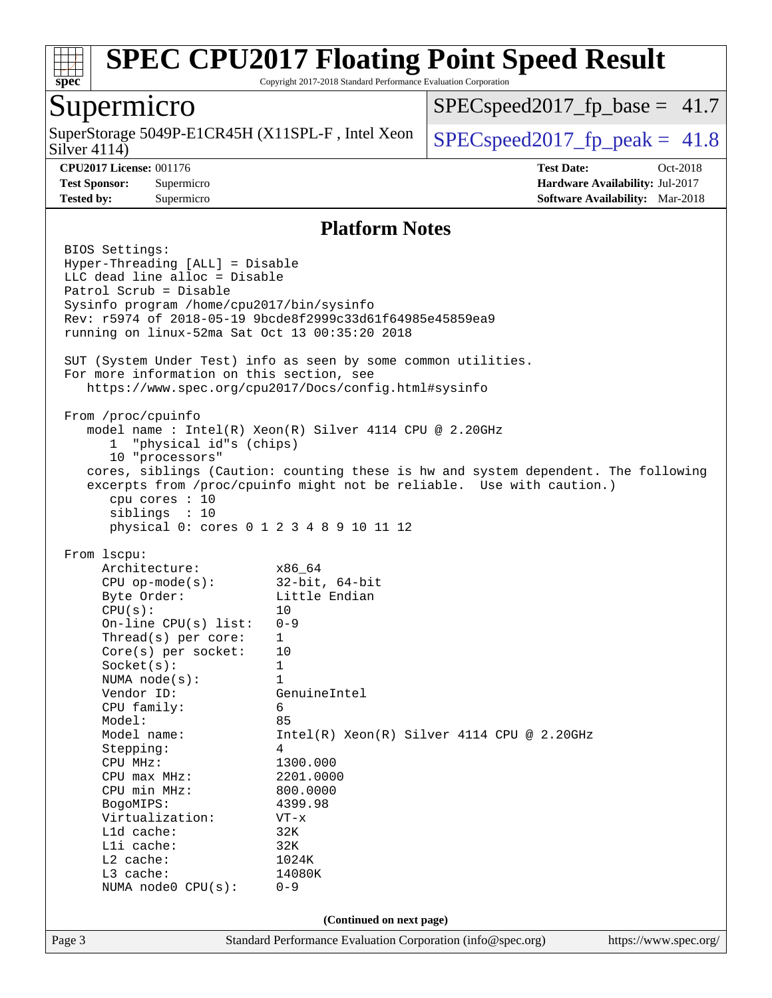

Copyright 2017-2018 Standard Performance Evaluation Corporation

### Supermicro

Silver 4114) SuperStorage 5049P-E1CR45H (X11SPL-F, Intel Xeon  $\Big|$  [SPECspeed2017\\_fp\\_peak =](http://www.spec.org/auto/cpu2017/Docs/result-fields.html#SPECspeed2017fppeak) 41.8

 $SPECspeed2017<sub>fp</sub> base = 41.7$ 

**[CPU2017 License:](http://www.spec.org/auto/cpu2017/Docs/result-fields.html#CPU2017License)** 001176 **[Test Date:](http://www.spec.org/auto/cpu2017/Docs/result-fields.html#TestDate)** Oct-2018 **[Test Sponsor:](http://www.spec.org/auto/cpu2017/Docs/result-fields.html#TestSponsor)** Supermicro **[Hardware Availability:](http://www.spec.org/auto/cpu2017/Docs/result-fields.html#HardwareAvailability)** Jul-2017 **[Tested by:](http://www.spec.org/auto/cpu2017/Docs/result-fields.html#Testedby)** Supermicro **[Software Availability:](http://www.spec.org/auto/cpu2017/Docs/result-fields.html#SoftwareAvailability)** Mar-2018

#### **[Platform Notes](http://www.spec.org/auto/cpu2017/Docs/result-fields.html#PlatformNotes)**

Page 3 Standard Performance Evaluation Corporation [\(info@spec.org\)](mailto:info@spec.org) <https://www.spec.org/> BIOS Settings: Hyper-Threading [ALL] = Disable LLC dead line alloc = Disable Patrol Scrub = Disable Sysinfo program /home/cpu2017/bin/sysinfo Rev: r5974 of 2018-05-19 9bcde8f2999c33d61f64985e45859ea9 running on linux-52ma Sat Oct 13 00:35:20 2018 SUT (System Under Test) info as seen by some common utilities. For more information on this section, see <https://www.spec.org/cpu2017/Docs/config.html#sysinfo> From /proc/cpuinfo model name : Intel(R) Xeon(R) Silver 4114 CPU @ 2.20GHz 1 "physical id"s (chips) 10 "processors" cores, siblings (Caution: counting these is hw and system dependent. The following excerpts from /proc/cpuinfo might not be reliable. Use with caution.) cpu cores : 10 siblings : 10 physical 0: cores 0 1 2 3 4 8 9 10 11 12 From lscpu: Architecture: x86\_64 CPU op-mode(s): 32-bit, 64-bit Byte Order: Little Endian  $CPU(s):$  10 On-line CPU(s) list: 0-9 Thread(s) per core: 1 Core(s) per socket: 10 Socket(s): 1 NUMA node(s): 1 Vendor ID: GenuineIntel CPU family: 6 Model: 85 Model name: Intel(R) Xeon(R) Silver 4114 CPU @ 2.20GHz Stepping: 4 CPU MHz: 1300.000 CPU max MHz: 2201.0000 CPU min MHz: 800.0000 BogoMIPS: 4399.98 Virtualization: VT-x L1d cache: 32K L1i cache: 32K L2 cache: 1024K L3 cache: 14080K NUMA node0 CPU(s): 0-9 **(Continued on next page)**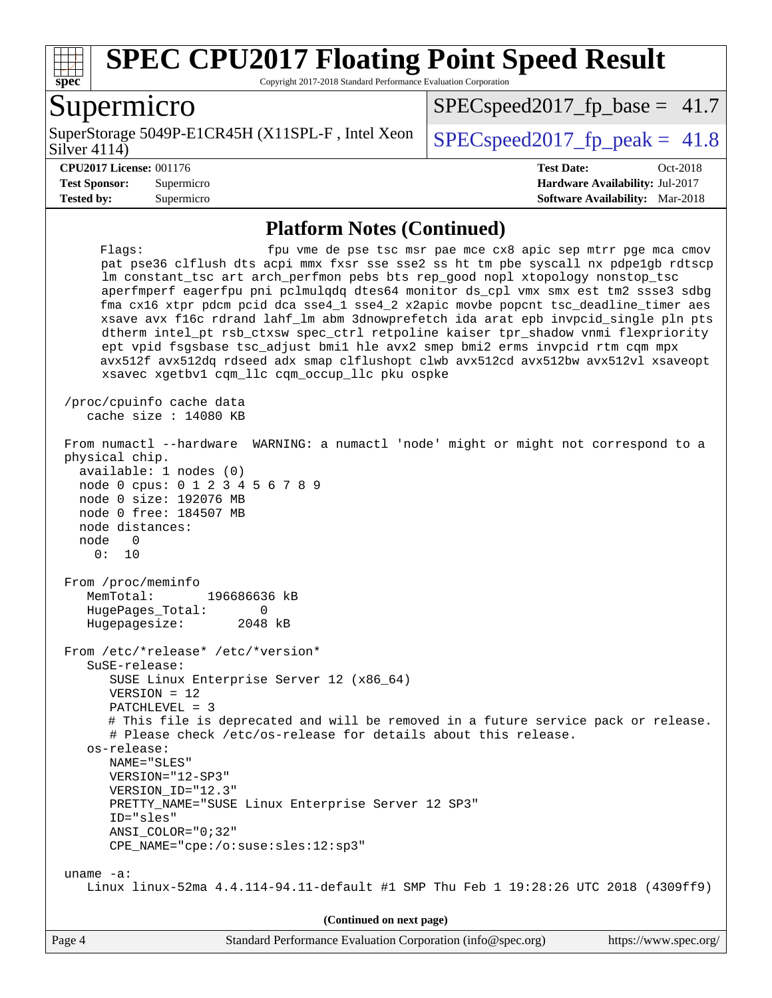

Copyright 2017-2018 Standard Performance Evaluation Corporation

### Supermicro

Silver 4114) SuperStorage 5049P-E1CR45H (X11SPL-F, Intel Xeon  $\big|$  SPECspeed2017 fp\_peak = 41.8

 $SPECspeed2017<sub>fp</sub> base = 41.7$ 

**[Tested by:](http://www.spec.org/auto/cpu2017/Docs/result-fields.html#Testedby)** Supermicro **[Software Availability:](http://www.spec.org/auto/cpu2017/Docs/result-fields.html#SoftwareAvailability)** Mar-2018

**[CPU2017 License:](http://www.spec.org/auto/cpu2017/Docs/result-fields.html#CPU2017License)** 001176 **[Test Date:](http://www.spec.org/auto/cpu2017/Docs/result-fields.html#TestDate)** Oct-2018 **[Test Sponsor:](http://www.spec.org/auto/cpu2017/Docs/result-fields.html#TestSponsor)** Supermicro **[Hardware Availability:](http://www.spec.org/auto/cpu2017/Docs/result-fields.html#HardwareAvailability)** Jul-2017

#### **[Platform Notes \(Continued\)](http://www.spec.org/auto/cpu2017/Docs/result-fields.html#PlatformNotes)**

Flags: fpu vme de pse tsc msr pae mce cx8 apic sep mtrr pge mca cmov pat pse36 clflush dts acpi mmx fxsr sse sse2 ss ht tm pbe syscall nx pdpe1gb rdtscp lm constant\_tsc art arch\_perfmon pebs bts rep\_good nopl xtopology nonstop\_tsc aperfmperf eagerfpu pni pclmulqdq dtes64 monitor ds\_cpl vmx smx est tm2 ssse3 sdbg fma cx16 xtpr pdcm pcid dca sse4\_1 sse4\_2 x2apic movbe popcnt tsc\_deadline\_timer aes xsave avx f16c rdrand lahf\_lm abm 3dnowprefetch ida arat epb invpcid\_single pln pts dtherm intel\_pt rsb\_ctxsw spec\_ctrl retpoline kaiser tpr\_shadow vnmi flexpriority ept vpid fsgsbase tsc\_adjust bmi1 hle avx2 smep bmi2 erms invpcid rtm cqm mpx avx512f avx512dq rdseed adx smap clflushopt clwb avx512cd avx512bw avx512vl xsaveopt xsavec xgetbv1 cqm\_llc cqm\_occup\_llc pku ospke /proc/cpuinfo cache data cache size : 14080 KB From numactl --hardware WARNING: a numactl 'node' might or might not correspond to a physical chip. available: 1 nodes (0) node 0 cpus: 0 1 2 3 4 5 6 7 8 9 node 0 size: 192076 MB node 0 free: 184507 MB node distances: node 0 0: 10 From /proc/meminfo MemTotal: 196686636 kB HugePages\_Total: 0 Hugepagesize: 2048 kB From /etc/\*release\* /etc/\*version\* SuSE-release: SUSE Linux Enterprise Server 12 (x86\_64) VERSION = 12 PATCHLEVEL = 3 # This file is deprecated and will be removed in a future service pack or release. # Please check /etc/os-release for details about this release. os-release: NAME="SLES" VERSION="12-SP3" VERSION\_ID="12.3" PRETTY\_NAME="SUSE Linux Enterprise Server 12 SP3" ID="sles" ANSI\_COLOR="0;32" CPE\_NAME="cpe:/o:suse:sles:12:sp3" uname -a: Linux linux-52ma 4.4.114-94.11-default #1 SMP Thu Feb 1 19:28:26 UTC 2018 (4309ff9) **(Continued on next page)**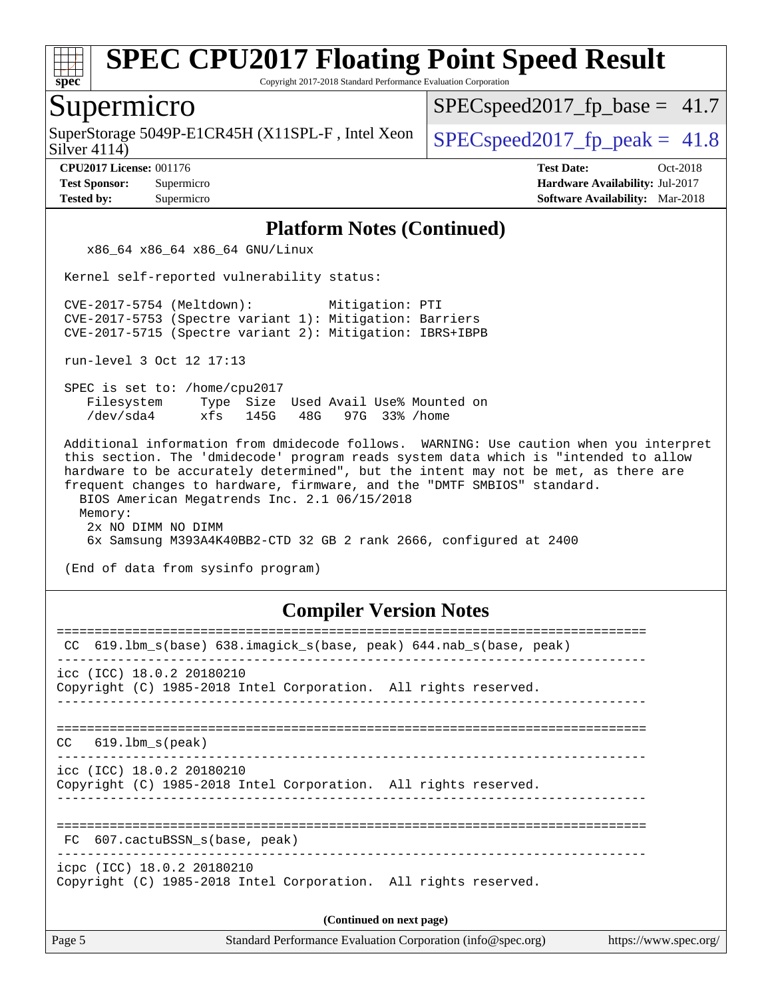

Copyright 2017-2018 Standard Performance Evaluation Corporation

### Supermicro

SuperStorage 5049P-E1CR45H (X11SPL-F, Intel Xeon  $\big|$  [SPECspeed2017\\_fp\\_peak =](http://www.spec.org/auto/cpu2017/Docs/result-fields.html#SPECspeed2017fppeak) 41.8

 $SPECspeed2017<sub>fp</sub> base = 41.7$ 

Silver 4114)

**[Tested by:](http://www.spec.org/auto/cpu2017/Docs/result-fields.html#Testedby)** Supermicro **[Software Availability:](http://www.spec.org/auto/cpu2017/Docs/result-fields.html#SoftwareAvailability)** Mar-2018

**[CPU2017 License:](http://www.spec.org/auto/cpu2017/Docs/result-fields.html#CPU2017License)** 001176 **[Test Date:](http://www.spec.org/auto/cpu2017/Docs/result-fields.html#TestDate)** Oct-2018 **[Test Sponsor:](http://www.spec.org/auto/cpu2017/Docs/result-fields.html#TestSponsor)** Supermicro **[Hardware Availability:](http://www.spec.org/auto/cpu2017/Docs/result-fields.html#HardwareAvailability)** Jul-2017

#### **[Platform Notes \(Continued\)](http://www.spec.org/auto/cpu2017/Docs/result-fields.html#PlatformNotes)**

x86\_64 x86\_64 x86\_64 GNU/Linux

Kernel self-reported vulnerability status:

 CVE-2017-5754 (Meltdown): Mitigation: PTI CVE-2017-5753 (Spectre variant 1): Mitigation: Barriers CVE-2017-5715 (Spectre variant 2): Mitigation: IBRS+IBPB

run-level 3 Oct 12 17:13

 SPEC is set to: /home/cpu2017 Filesystem Type Size Used Avail Use% Mounted on /dev/sda4 xfs 145G 48G 97G 33% /home

 Additional information from dmidecode follows. WARNING: Use caution when you interpret this section. The 'dmidecode' program reads system data which is "intended to allow hardware to be accurately determined", but the intent may not be met, as there are frequent changes to hardware, firmware, and the "DMTF SMBIOS" standard. BIOS American Megatrends Inc. 2.1 06/15/2018 Memory: 2x NO DIMM NO DIMM 6x Samsung M393A4K40BB2-CTD 32 GB 2 rank 2666, configured at 2400

(End of data from sysinfo program)

#### **[Compiler Version Notes](http://www.spec.org/auto/cpu2017/Docs/result-fields.html#CompilerVersionNotes)**

| 619.1bm_s(base) 638.imagick_s(base, peak) 644.nab_s(base, peak)<br>CC                         |
|-----------------------------------------------------------------------------------------------|
| icc (ICC) 18.0.2 20180210<br>Copyright (C) 1985-2018 Intel Corporation. All rights reserved.  |
| 619.1bm s(peak)<br>CC.                                                                        |
| icc (ICC) 18.0.2 20180210<br>Copyright (C) 1985-2018 Intel Corporation. All rights reserved.  |
| FC 607.cactuBSSN s(base, peak)                                                                |
| icpc (ICC) 18.0.2 20180210<br>Copyright (C) 1985-2018 Intel Corporation. All rights reserved. |
| (Continued on next page)                                                                      |
|                                                                                               |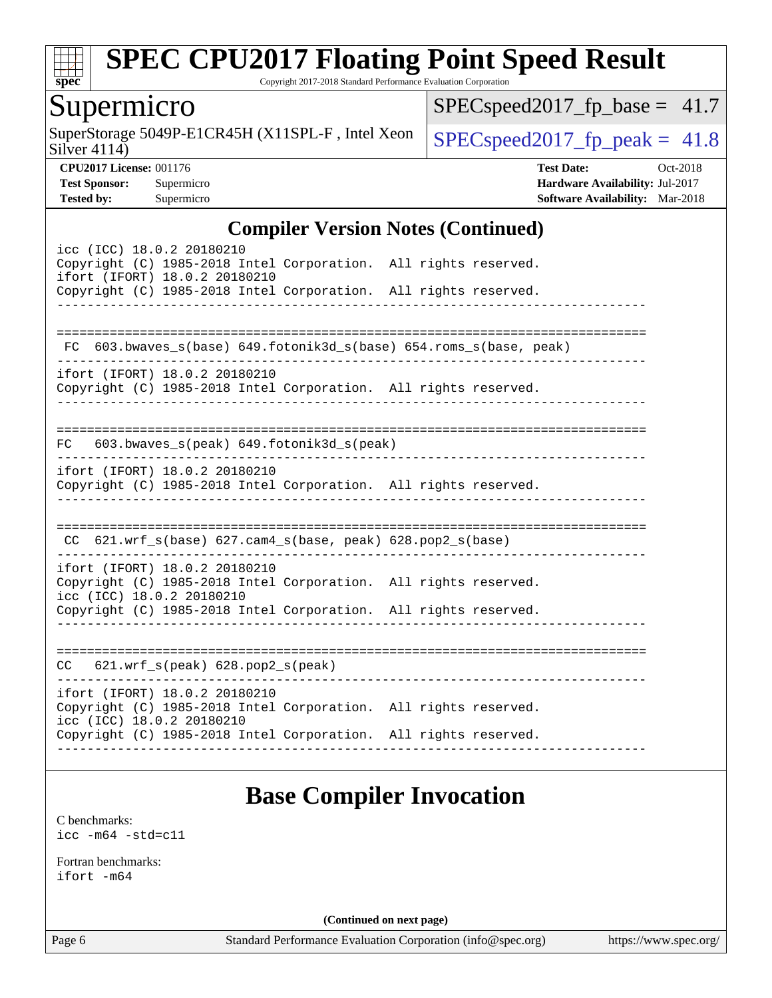

Copyright 2017-2018 Standard Performance Evaluation Corporation

# Supermicro

Silver 4114) SuperStorage 5049P-E1CR45H (X11SPL-F, Intel Xeon  $\Big|$  [SPECspeed2017\\_fp\\_peak =](http://www.spec.org/auto/cpu2017/Docs/result-fields.html#SPECspeed2017fppeak) 41.8

 $SPEC speed2017_fp\_base = 41.7$ 

**[CPU2017 License:](http://www.spec.org/auto/cpu2017/Docs/result-fields.html#CPU2017License)** 001176 **[Test Date:](http://www.spec.org/auto/cpu2017/Docs/result-fields.html#TestDate)** Oct-2018 **[Test Sponsor:](http://www.spec.org/auto/cpu2017/Docs/result-fields.html#TestSponsor)** Supermicro **[Hardware Availability:](http://www.spec.org/auto/cpu2017/Docs/result-fields.html#HardwareAvailability)** Jul-2017 **[Tested by:](http://www.spec.org/auto/cpu2017/Docs/result-fields.html#Testedby)** Supermicro **[Software Availability:](http://www.spec.org/auto/cpu2017/Docs/result-fields.html#SoftwareAvailability)** Mar-2018

#### **[Compiler Version Notes \(Continued\)](http://www.spec.org/auto/cpu2017/Docs/result-fields.html#CompilerVersionNotes)**

| icc (ICC) 18.0.2 20180210<br>Copyright (C) 1985-2018 Intel Corporation. All rights reserved.<br>ifort (IFORT) 18.0.2 20180210<br>Copyright (C) 1985-2018 Intel Corporation. All rights reserved. |                                                                    |
|--------------------------------------------------------------------------------------------------------------------------------------------------------------------------------------------------|--------------------------------------------------------------------|
| ifort (IFORT) 18.0.2 20180210                                                                                                                                                                    | FC 603.bwaves_s(base) 649.fotonik3d_s(base) 654.roms_s(base, peak) |
| Copyright (C) 1985-2018 Intel Corporation. All rights reserved.                                                                                                                                  |                                                                    |
| FC 603.bwaves_s(peak) 649.fotonik3d_s(peak)                                                                                                                                                      |                                                                    |
| ifort (IFORT) 18.0.2 20180210<br>Copyright (C) 1985-2018 Intel Corporation. All rights reserved.                                                                                                 |                                                                    |
| CC $621.wrf_s(base) 627.cam4_s(base, peak) 628.pop2_s(base)$                                                                                                                                     |                                                                    |
| ifort (IFORT) 18.0.2 20180210<br>Copyright (C) 1985-2018 Intel Corporation. All rights reserved.<br>icc (ICC) 18.0.2 20180210<br>Copyright (C) 1985-2018 Intel Corporation. All rights reserved. |                                                                    |
| $CC$ 621.wrf_s(peak) 628.pop2_s(peak)                                                                                                                                                            | -----------                                                        |
| ifort (IFORT) 18.0.2 20180210<br>Copyright (C) 1985-2018 Intel Corporation. All rights reserved.<br>icc (ICC) 18.0.2 20180210<br>Copyright (C) 1985-2018 Intel Corporation. All rights reserved. |                                                                    |
|                                                                                                                                                                                                  |                                                                    |

# **[Base Compiler Invocation](http://www.spec.org/auto/cpu2017/Docs/result-fields.html#BaseCompilerInvocation)**

[C benchmarks](http://www.spec.org/auto/cpu2017/Docs/result-fields.html#Cbenchmarks): [icc -m64 -std=c11](http://www.spec.org/cpu2017/results/res2018q4/cpu2017-20181015-09230.flags.html#user_CCbase_intel_icc_64bit_c11_33ee0cdaae7deeeab2a9725423ba97205ce30f63b9926c2519791662299b76a0318f32ddfffdc46587804de3178b4f9328c46fa7c2b0cd779d7a61945c91cd35)

[Fortran benchmarks](http://www.spec.org/auto/cpu2017/Docs/result-fields.html#Fortranbenchmarks): [ifort -m64](http://www.spec.org/cpu2017/results/res2018q4/cpu2017-20181015-09230.flags.html#user_FCbase_intel_ifort_64bit_24f2bb282fbaeffd6157abe4f878425411749daecae9a33200eee2bee2fe76f3b89351d69a8130dd5949958ce389cf37ff59a95e7a40d588e8d3a57e0c3fd751)

**(Continued on next page)**

Page 6 Standard Performance Evaluation Corporation [\(info@spec.org\)](mailto:info@spec.org) <https://www.spec.org/>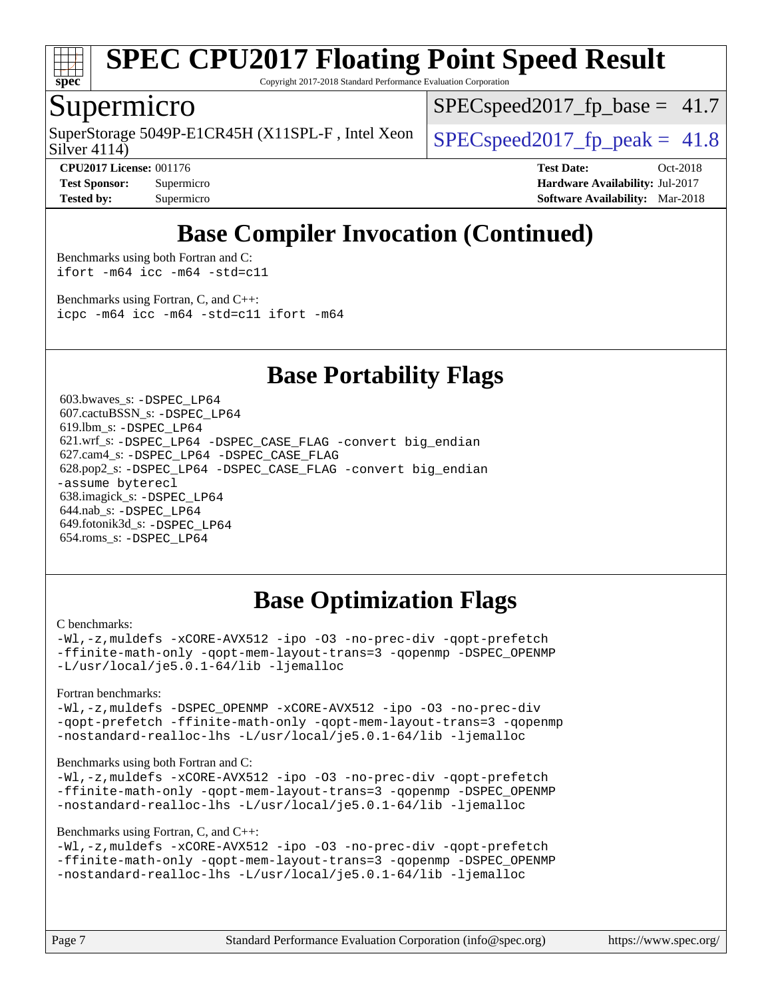

Copyright 2017-2018 Standard Performance Evaluation Corporation

### Supermicro

Silver 4114) SuperStorage 5049P-E1CR45H (X11SPL-F, Intel Xeon  $\Big|$  [SPECspeed2017\\_fp\\_peak =](http://www.spec.org/auto/cpu2017/Docs/result-fields.html#SPECspeed2017fppeak) 41.8

 $SPECspeed2017<sub>fp</sub> base = 41.7$ 

**[Tested by:](http://www.spec.org/auto/cpu2017/Docs/result-fields.html#Testedby)** Supermicro **[Software Availability:](http://www.spec.org/auto/cpu2017/Docs/result-fields.html#SoftwareAvailability)** Mar-2018

**[CPU2017 License:](http://www.spec.org/auto/cpu2017/Docs/result-fields.html#CPU2017License)** 001176 **[Test Date:](http://www.spec.org/auto/cpu2017/Docs/result-fields.html#TestDate)** Oct-2018 **[Test Sponsor:](http://www.spec.org/auto/cpu2017/Docs/result-fields.html#TestSponsor)** Supermicro **[Hardware Availability:](http://www.spec.org/auto/cpu2017/Docs/result-fields.html#HardwareAvailability)** Jul-2017

# **[Base Compiler Invocation \(Continued\)](http://www.spec.org/auto/cpu2017/Docs/result-fields.html#BaseCompilerInvocation)**

[Benchmarks using both Fortran and C](http://www.spec.org/auto/cpu2017/Docs/result-fields.html#BenchmarksusingbothFortranandC): [ifort -m64](http://www.spec.org/cpu2017/results/res2018q4/cpu2017-20181015-09230.flags.html#user_CC_FCbase_intel_ifort_64bit_24f2bb282fbaeffd6157abe4f878425411749daecae9a33200eee2bee2fe76f3b89351d69a8130dd5949958ce389cf37ff59a95e7a40d588e8d3a57e0c3fd751) [icc -m64 -std=c11](http://www.spec.org/cpu2017/results/res2018q4/cpu2017-20181015-09230.flags.html#user_CC_FCbase_intel_icc_64bit_c11_33ee0cdaae7deeeab2a9725423ba97205ce30f63b9926c2519791662299b76a0318f32ddfffdc46587804de3178b4f9328c46fa7c2b0cd779d7a61945c91cd35)

[Benchmarks using Fortran, C, and C++:](http://www.spec.org/auto/cpu2017/Docs/result-fields.html#BenchmarksusingFortranCandCXX) [icpc -m64](http://www.spec.org/cpu2017/results/res2018q4/cpu2017-20181015-09230.flags.html#user_CC_CXX_FCbase_intel_icpc_64bit_4ecb2543ae3f1412ef961e0650ca070fec7b7afdcd6ed48761b84423119d1bf6bdf5cad15b44d48e7256388bc77273b966e5eb805aefd121eb22e9299b2ec9d9) [icc -m64 -std=c11](http://www.spec.org/cpu2017/results/res2018q4/cpu2017-20181015-09230.flags.html#user_CC_CXX_FCbase_intel_icc_64bit_c11_33ee0cdaae7deeeab2a9725423ba97205ce30f63b9926c2519791662299b76a0318f32ddfffdc46587804de3178b4f9328c46fa7c2b0cd779d7a61945c91cd35) [ifort -m64](http://www.spec.org/cpu2017/results/res2018q4/cpu2017-20181015-09230.flags.html#user_CC_CXX_FCbase_intel_ifort_64bit_24f2bb282fbaeffd6157abe4f878425411749daecae9a33200eee2bee2fe76f3b89351d69a8130dd5949958ce389cf37ff59a95e7a40d588e8d3a57e0c3fd751)

### **[Base Portability Flags](http://www.spec.org/auto/cpu2017/Docs/result-fields.html#BasePortabilityFlags)**

 603.bwaves\_s: [-DSPEC\\_LP64](http://www.spec.org/cpu2017/results/res2018q4/cpu2017-20181015-09230.flags.html#suite_basePORTABILITY603_bwaves_s_DSPEC_LP64) 607.cactuBSSN\_s: [-DSPEC\\_LP64](http://www.spec.org/cpu2017/results/res2018q4/cpu2017-20181015-09230.flags.html#suite_basePORTABILITY607_cactuBSSN_s_DSPEC_LP64) 619.lbm\_s: [-DSPEC\\_LP64](http://www.spec.org/cpu2017/results/res2018q4/cpu2017-20181015-09230.flags.html#suite_basePORTABILITY619_lbm_s_DSPEC_LP64) 621.wrf\_s: [-DSPEC\\_LP64](http://www.spec.org/cpu2017/results/res2018q4/cpu2017-20181015-09230.flags.html#suite_basePORTABILITY621_wrf_s_DSPEC_LP64) [-DSPEC\\_CASE\\_FLAG](http://www.spec.org/cpu2017/results/res2018q4/cpu2017-20181015-09230.flags.html#b621.wrf_s_baseCPORTABILITY_DSPEC_CASE_FLAG) [-convert big\\_endian](http://www.spec.org/cpu2017/results/res2018q4/cpu2017-20181015-09230.flags.html#user_baseFPORTABILITY621_wrf_s_convert_big_endian_c3194028bc08c63ac5d04de18c48ce6d347e4e562e8892b8bdbdc0214820426deb8554edfa529a3fb25a586e65a3d812c835984020483e7e73212c4d31a38223) 627.cam4\_s: [-DSPEC\\_LP64](http://www.spec.org/cpu2017/results/res2018q4/cpu2017-20181015-09230.flags.html#suite_basePORTABILITY627_cam4_s_DSPEC_LP64) [-DSPEC\\_CASE\\_FLAG](http://www.spec.org/cpu2017/results/res2018q4/cpu2017-20181015-09230.flags.html#b627.cam4_s_baseCPORTABILITY_DSPEC_CASE_FLAG) 628.pop2\_s: [-DSPEC\\_LP64](http://www.spec.org/cpu2017/results/res2018q4/cpu2017-20181015-09230.flags.html#suite_basePORTABILITY628_pop2_s_DSPEC_LP64) [-DSPEC\\_CASE\\_FLAG](http://www.spec.org/cpu2017/results/res2018q4/cpu2017-20181015-09230.flags.html#b628.pop2_s_baseCPORTABILITY_DSPEC_CASE_FLAG) [-convert big\\_endian](http://www.spec.org/cpu2017/results/res2018q4/cpu2017-20181015-09230.flags.html#user_baseFPORTABILITY628_pop2_s_convert_big_endian_c3194028bc08c63ac5d04de18c48ce6d347e4e562e8892b8bdbdc0214820426deb8554edfa529a3fb25a586e65a3d812c835984020483e7e73212c4d31a38223) [-assume byterecl](http://www.spec.org/cpu2017/results/res2018q4/cpu2017-20181015-09230.flags.html#user_baseFPORTABILITY628_pop2_s_assume_byterecl_7e47d18b9513cf18525430bbf0f2177aa9bf368bc7a059c09b2c06a34b53bd3447c950d3f8d6c70e3faf3a05c8557d66a5798b567902e8849adc142926523472) 638.imagick\_s: [-DSPEC\\_LP64](http://www.spec.org/cpu2017/results/res2018q4/cpu2017-20181015-09230.flags.html#suite_basePORTABILITY638_imagick_s_DSPEC_LP64) 644.nab\_s: [-DSPEC\\_LP64](http://www.spec.org/cpu2017/results/res2018q4/cpu2017-20181015-09230.flags.html#suite_basePORTABILITY644_nab_s_DSPEC_LP64) 649.fotonik3d\_s: [-DSPEC\\_LP64](http://www.spec.org/cpu2017/results/res2018q4/cpu2017-20181015-09230.flags.html#suite_basePORTABILITY649_fotonik3d_s_DSPEC_LP64) 654.roms\_s: [-DSPEC\\_LP64](http://www.spec.org/cpu2017/results/res2018q4/cpu2017-20181015-09230.flags.html#suite_basePORTABILITY654_roms_s_DSPEC_LP64)

# **[Base Optimization Flags](http://www.spec.org/auto/cpu2017/Docs/result-fields.html#BaseOptimizationFlags)**

#### [C benchmarks](http://www.spec.org/auto/cpu2017/Docs/result-fields.html#Cbenchmarks):

[-Wl,-z,muldefs](http://www.spec.org/cpu2017/results/res2018q4/cpu2017-20181015-09230.flags.html#user_CCbase_link_force_multiple1_b4cbdb97b34bdee9ceefcfe54f4c8ea74255f0b02a4b23e853cdb0e18eb4525ac79b5a88067c842dd0ee6996c24547a27a4b99331201badda8798ef8a743f577) [-xCORE-AVX512](http://www.spec.org/cpu2017/results/res2018q4/cpu2017-20181015-09230.flags.html#user_CCbase_f-xCORE-AVX512) [-ipo](http://www.spec.org/cpu2017/results/res2018q4/cpu2017-20181015-09230.flags.html#user_CCbase_f-ipo) [-O3](http://www.spec.org/cpu2017/results/res2018q4/cpu2017-20181015-09230.flags.html#user_CCbase_f-O3) [-no-prec-div](http://www.spec.org/cpu2017/results/res2018q4/cpu2017-20181015-09230.flags.html#user_CCbase_f-no-prec-div) [-qopt-prefetch](http://www.spec.org/cpu2017/results/res2018q4/cpu2017-20181015-09230.flags.html#user_CCbase_f-qopt-prefetch) [-ffinite-math-only](http://www.spec.org/cpu2017/results/res2018q4/cpu2017-20181015-09230.flags.html#user_CCbase_f_finite_math_only_cb91587bd2077682c4b38af759c288ed7c732db004271a9512da14a4f8007909a5f1427ecbf1a0fb78ff2a814402c6114ac565ca162485bbcae155b5e4258871) [-qopt-mem-layout-trans=3](http://www.spec.org/cpu2017/results/res2018q4/cpu2017-20181015-09230.flags.html#user_CCbase_f-qopt-mem-layout-trans_de80db37974c74b1f0e20d883f0b675c88c3b01e9d123adea9b28688d64333345fb62bc4a798493513fdb68f60282f9a726aa07f478b2f7113531aecce732043) [-qopenmp](http://www.spec.org/cpu2017/results/res2018q4/cpu2017-20181015-09230.flags.html#user_CCbase_qopenmp_16be0c44f24f464004c6784a7acb94aca937f053568ce72f94b139a11c7c168634a55f6653758ddd83bcf7b8463e8028bb0b48b77bcddc6b78d5d95bb1df2967) [-DSPEC\\_OPENMP](http://www.spec.org/cpu2017/results/res2018q4/cpu2017-20181015-09230.flags.html#suite_CCbase_DSPEC_OPENMP) [-L/usr/local/je5.0.1-64/lib](http://www.spec.org/cpu2017/results/res2018q4/cpu2017-20181015-09230.flags.html#user_CCbase_jemalloc_link_path64_4b10a636b7bce113509b17f3bd0d6226c5fb2346b9178c2d0232c14f04ab830f976640479e5c33dc2bcbbdad86ecfb6634cbbd4418746f06f368b512fced5394) [-ljemalloc](http://www.spec.org/cpu2017/results/res2018q4/cpu2017-20181015-09230.flags.html#user_CCbase_jemalloc_link_lib_d1249b907c500fa1c0672f44f562e3d0f79738ae9e3c4a9c376d49f265a04b9c99b167ecedbf6711b3085be911c67ff61f150a17b3472be731631ba4d0471706)

[Fortran benchmarks](http://www.spec.org/auto/cpu2017/Docs/result-fields.html#Fortranbenchmarks):

[-Wl,-z,muldefs](http://www.spec.org/cpu2017/results/res2018q4/cpu2017-20181015-09230.flags.html#user_FCbase_link_force_multiple1_b4cbdb97b34bdee9ceefcfe54f4c8ea74255f0b02a4b23e853cdb0e18eb4525ac79b5a88067c842dd0ee6996c24547a27a4b99331201badda8798ef8a743f577) [-DSPEC\\_OPENMP](http://www.spec.org/cpu2017/results/res2018q4/cpu2017-20181015-09230.flags.html#suite_FCbase_DSPEC_OPENMP) [-xCORE-AVX512](http://www.spec.org/cpu2017/results/res2018q4/cpu2017-20181015-09230.flags.html#user_FCbase_f-xCORE-AVX512) [-ipo](http://www.spec.org/cpu2017/results/res2018q4/cpu2017-20181015-09230.flags.html#user_FCbase_f-ipo) [-O3](http://www.spec.org/cpu2017/results/res2018q4/cpu2017-20181015-09230.flags.html#user_FCbase_f-O3) [-no-prec-div](http://www.spec.org/cpu2017/results/res2018q4/cpu2017-20181015-09230.flags.html#user_FCbase_f-no-prec-div) [-qopt-prefetch](http://www.spec.org/cpu2017/results/res2018q4/cpu2017-20181015-09230.flags.html#user_FCbase_f-qopt-prefetch) [-ffinite-math-only](http://www.spec.org/cpu2017/results/res2018q4/cpu2017-20181015-09230.flags.html#user_FCbase_f_finite_math_only_cb91587bd2077682c4b38af759c288ed7c732db004271a9512da14a4f8007909a5f1427ecbf1a0fb78ff2a814402c6114ac565ca162485bbcae155b5e4258871) [-qopt-mem-layout-trans=3](http://www.spec.org/cpu2017/results/res2018q4/cpu2017-20181015-09230.flags.html#user_FCbase_f-qopt-mem-layout-trans_de80db37974c74b1f0e20d883f0b675c88c3b01e9d123adea9b28688d64333345fb62bc4a798493513fdb68f60282f9a726aa07f478b2f7113531aecce732043) [-qopenmp](http://www.spec.org/cpu2017/results/res2018q4/cpu2017-20181015-09230.flags.html#user_FCbase_qopenmp_16be0c44f24f464004c6784a7acb94aca937f053568ce72f94b139a11c7c168634a55f6653758ddd83bcf7b8463e8028bb0b48b77bcddc6b78d5d95bb1df2967) [-nostandard-realloc-lhs](http://www.spec.org/cpu2017/results/res2018q4/cpu2017-20181015-09230.flags.html#user_FCbase_f_2003_std_realloc_82b4557e90729c0f113870c07e44d33d6f5a304b4f63d4c15d2d0f1fab99f5daaed73bdb9275d9ae411527f28b936061aa8b9c8f2d63842963b95c9dd6426b8a) [-L/usr/local/je5.0.1-64/lib](http://www.spec.org/cpu2017/results/res2018q4/cpu2017-20181015-09230.flags.html#user_FCbase_jemalloc_link_path64_4b10a636b7bce113509b17f3bd0d6226c5fb2346b9178c2d0232c14f04ab830f976640479e5c33dc2bcbbdad86ecfb6634cbbd4418746f06f368b512fced5394) [-ljemalloc](http://www.spec.org/cpu2017/results/res2018q4/cpu2017-20181015-09230.flags.html#user_FCbase_jemalloc_link_lib_d1249b907c500fa1c0672f44f562e3d0f79738ae9e3c4a9c376d49f265a04b9c99b167ecedbf6711b3085be911c67ff61f150a17b3472be731631ba4d0471706)

[Benchmarks using both Fortran and C](http://www.spec.org/auto/cpu2017/Docs/result-fields.html#BenchmarksusingbothFortranandC):

[-Wl,-z,muldefs](http://www.spec.org/cpu2017/results/res2018q4/cpu2017-20181015-09230.flags.html#user_CC_FCbase_link_force_multiple1_b4cbdb97b34bdee9ceefcfe54f4c8ea74255f0b02a4b23e853cdb0e18eb4525ac79b5a88067c842dd0ee6996c24547a27a4b99331201badda8798ef8a743f577) [-xCORE-AVX512](http://www.spec.org/cpu2017/results/res2018q4/cpu2017-20181015-09230.flags.html#user_CC_FCbase_f-xCORE-AVX512) [-ipo](http://www.spec.org/cpu2017/results/res2018q4/cpu2017-20181015-09230.flags.html#user_CC_FCbase_f-ipo) [-O3](http://www.spec.org/cpu2017/results/res2018q4/cpu2017-20181015-09230.flags.html#user_CC_FCbase_f-O3) [-no-prec-div](http://www.spec.org/cpu2017/results/res2018q4/cpu2017-20181015-09230.flags.html#user_CC_FCbase_f-no-prec-div) [-qopt-prefetch](http://www.spec.org/cpu2017/results/res2018q4/cpu2017-20181015-09230.flags.html#user_CC_FCbase_f-qopt-prefetch) [-ffinite-math-only](http://www.spec.org/cpu2017/results/res2018q4/cpu2017-20181015-09230.flags.html#user_CC_FCbase_f_finite_math_only_cb91587bd2077682c4b38af759c288ed7c732db004271a9512da14a4f8007909a5f1427ecbf1a0fb78ff2a814402c6114ac565ca162485bbcae155b5e4258871) [-qopt-mem-layout-trans=3](http://www.spec.org/cpu2017/results/res2018q4/cpu2017-20181015-09230.flags.html#user_CC_FCbase_f-qopt-mem-layout-trans_de80db37974c74b1f0e20d883f0b675c88c3b01e9d123adea9b28688d64333345fb62bc4a798493513fdb68f60282f9a726aa07f478b2f7113531aecce732043) [-qopenmp](http://www.spec.org/cpu2017/results/res2018q4/cpu2017-20181015-09230.flags.html#user_CC_FCbase_qopenmp_16be0c44f24f464004c6784a7acb94aca937f053568ce72f94b139a11c7c168634a55f6653758ddd83bcf7b8463e8028bb0b48b77bcddc6b78d5d95bb1df2967) [-DSPEC\\_OPENMP](http://www.spec.org/cpu2017/results/res2018q4/cpu2017-20181015-09230.flags.html#suite_CC_FCbase_DSPEC_OPENMP) [-nostandard-realloc-lhs](http://www.spec.org/cpu2017/results/res2018q4/cpu2017-20181015-09230.flags.html#user_CC_FCbase_f_2003_std_realloc_82b4557e90729c0f113870c07e44d33d6f5a304b4f63d4c15d2d0f1fab99f5daaed73bdb9275d9ae411527f28b936061aa8b9c8f2d63842963b95c9dd6426b8a) [-L/usr/local/je5.0.1-64/lib](http://www.spec.org/cpu2017/results/res2018q4/cpu2017-20181015-09230.flags.html#user_CC_FCbase_jemalloc_link_path64_4b10a636b7bce113509b17f3bd0d6226c5fb2346b9178c2d0232c14f04ab830f976640479e5c33dc2bcbbdad86ecfb6634cbbd4418746f06f368b512fced5394) [-ljemalloc](http://www.spec.org/cpu2017/results/res2018q4/cpu2017-20181015-09230.flags.html#user_CC_FCbase_jemalloc_link_lib_d1249b907c500fa1c0672f44f562e3d0f79738ae9e3c4a9c376d49f265a04b9c99b167ecedbf6711b3085be911c67ff61f150a17b3472be731631ba4d0471706)

#### [Benchmarks using Fortran, C, and C++:](http://www.spec.org/auto/cpu2017/Docs/result-fields.html#BenchmarksusingFortranCandCXX)

```
-Wl,-z,muldefs -xCORE-AVX512 -ipo -O3 -no-prec-div -qopt-prefetch
-ffinite-math-only -qopt-mem-layout-trans=3 -qopenmp -DSPEC_OPENMP
-nostandard-realloc-lhs -L/usr/local/je5.0.1-64/lib -ljemalloc
```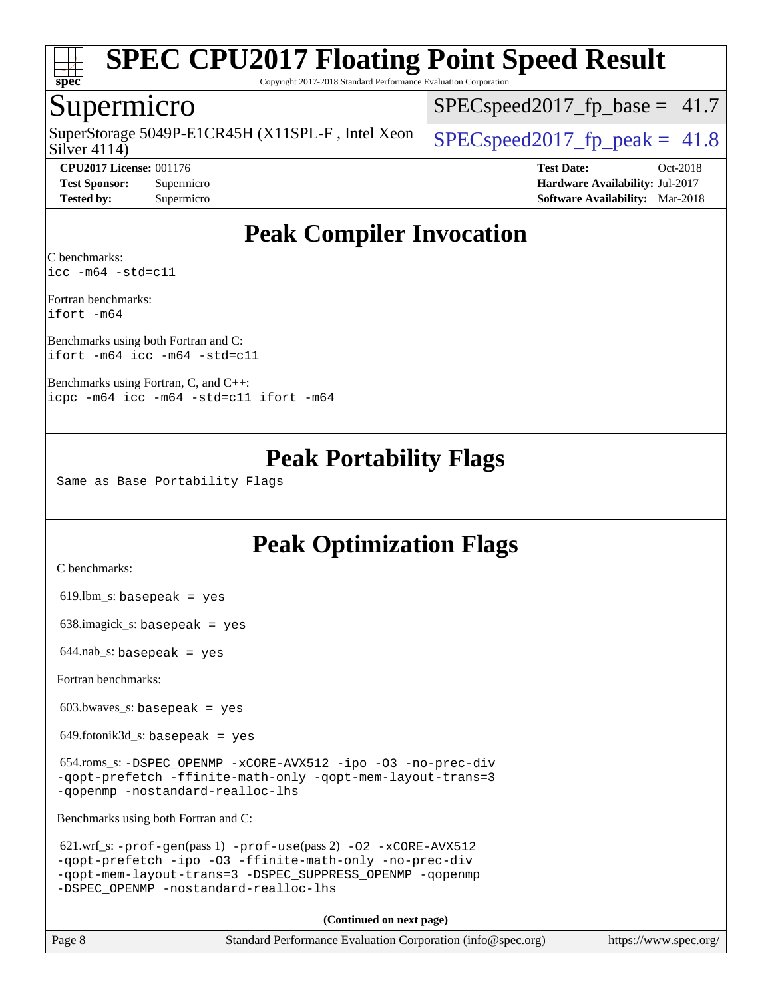

Copyright 2017-2018 Standard Performance Evaluation Corporation

### Supermicro

Silver 4114) SuperStorage 5049P-E1CR45H (X11SPL-F, Intel Xeon  $\big|$  [SPECspeed2017\\_fp\\_peak =](http://www.spec.org/auto/cpu2017/Docs/result-fields.html#SPECspeed2017fppeak) 41.8

 $SPECspeed2017<sub>fp</sub> base = 41.7$ 

**[CPU2017 License:](http://www.spec.org/auto/cpu2017/Docs/result-fields.html#CPU2017License)** 001176 **[Test Date:](http://www.spec.org/auto/cpu2017/Docs/result-fields.html#TestDate)** Oct-2018

**[Test Sponsor:](http://www.spec.org/auto/cpu2017/Docs/result-fields.html#TestSponsor)** Supermicro **[Hardware Availability:](http://www.spec.org/auto/cpu2017/Docs/result-fields.html#HardwareAvailability)** Jul-2017 **[Tested by:](http://www.spec.org/auto/cpu2017/Docs/result-fields.html#Testedby)** Supermicro **[Software Availability:](http://www.spec.org/auto/cpu2017/Docs/result-fields.html#SoftwareAvailability)** Mar-2018

# **[Peak Compiler Invocation](http://www.spec.org/auto/cpu2017/Docs/result-fields.html#PeakCompilerInvocation)**

[C benchmarks](http://www.spec.org/auto/cpu2017/Docs/result-fields.html#Cbenchmarks): [icc -m64 -std=c11](http://www.spec.org/cpu2017/results/res2018q4/cpu2017-20181015-09230.flags.html#user_CCpeak_intel_icc_64bit_c11_33ee0cdaae7deeeab2a9725423ba97205ce30f63b9926c2519791662299b76a0318f32ddfffdc46587804de3178b4f9328c46fa7c2b0cd779d7a61945c91cd35)

[Fortran benchmarks:](http://www.spec.org/auto/cpu2017/Docs/result-fields.html#Fortranbenchmarks) [ifort -m64](http://www.spec.org/cpu2017/results/res2018q4/cpu2017-20181015-09230.flags.html#user_FCpeak_intel_ifort_64bit_24f2bb282fbaeffd6157abe4f878425411749daecae9a33200eee2bee2fe76f3b89351d69a8130dd5949958ce389cf37ff59a95e7a40d588e8d3a57e0c3fd751)

[Benchmarks using both Fortran and C](http://www.spec.org/auto/cpu2017/Docs/result-fields.html#BenchmarksusingbothFortranandC): [ifort -m64](http://www.spec.org/cpu2017/results/res2018q4/cpu2017-20181015-09230.flags.html#user_CC_FCpeak_intel_ifort_64bit_24f2bb282fbaeffd6157abe4f878425411749daecae9a33200eee2bee2fe76f3b89351d69a8130dd5949958ce389cf37ff59a95e7a40d588e8d3a57e0c3fd751) [icc -m64 -std=c11](http://www.spec.org/cpu2017/results/res2018q4/cpu2017-20181015-09230.flags.html#user_CC_FCpeak_intel_icc_64bit_c11_33ee0cdaae7deeeab2a9725423ba97205ce30f63b9926c2519791662299b76a0318f32ddfffdc46587804de3178b4f9328c46fa7c2b0cd779d7a61945c91cd35)

[Benchmarks using Fortran, C, and C++](http://www.spec.org/auto/cpu2017/Docs/result-fields.html#BenchmarksusingFortranCandCXX): [icpc -m64](http://www.spec.org/cpu2017/results/res2018q4/cpu2017-20181015-09230.flags.html#user_CC_CXX_FCpeak_intel_icpc_64bit_4ecb2543ae3f1412ef961e0650ca070fec7b7afdcd6ed48761b84423119d1bf6bdf5cad15b44d48e7256388bc77273b966e5eb805aefd121eb22e9299b2ec9d9) [icc -m64 -std=c11](http://www.spec.org/cpu2017/results/res2018q4/cpu2017-20181015-09230.flags.html#user_CC_CXX_FCpeak_intel_icc_64bit_c11_33ee0cdaae7deeeab2a9725423ba97205ce30f63b9926c2519791662299b76a0318f32ddfffdc46587804de3178b4f9328c46fa7c2b0cd779d7a61945c91cd35) [ifort -m64](http://www.spec.org/cpu2017/results/res2018q4/cpu2017-20181015-09230.flags.html#user_CC_CXX_FCpeak_intel_ifort_64bit_24f2bb282fbaeffd6157abe4f878425411749daecae9a33200eee2bee2fe76f3b89351d69a8130dd5949958ce389cf37ff59a95e7a40d588e8d3a57e0c3fd751)

## **[Peak Portability Flags](http://www.spec.org/auto/cpu2017/Docs/result-fields.html#PeakPortabilityFlags)**

Same as Base Portability Flags

# **[Peak Optimization Flags](http://www.spec.org/auto/cpu2017/Docs/result-fields.html#PeakOptimizationFlags)**

[C benchmarks](http://www.spec.org/auto/cpu2017/Docs/result-fields.html#Cbenchmarks):

619.lbm\_s: basepeak = yes

638.imagick\_s: basepeak = yes

 $644$ .nab\_s: basepeak = yes

[Fortran benchmarks](http://www.spec.org/auto/cpu2017/Docs/result-fields.html#Fortranbenchmarks):

603.bwaves\_s: basepeak = yes

 $649.$ fotonik $3d$ <sub>-</sub>s: basepeak = yes

 654.roms\_s: [-DSPEC\\_OPENMP](http://www.spec.org/cpu2017/results/res2018q4/cpu2017-20181015-09230.flags.html#suite_peakFOPTIMIZE654_roms_s_DSPEC_OPENMP) [-xCORE-AVX512](http://www.spec.org/cpu2017/results/res2018q4/cpu2017-20181015-09230.flags.html#user_peakFOPTIMIZE654_roms_s_f-xCORE-AVX512) [-ipo](http://www.spec.org/cpu2017/results/res2018q4/cpu2017-20181015-09230.flags.html#user_peakFOPTIMIZE654_roms_s_f-ipo) [-O3](http://www.spec.org/cpu2017/results/res2018q4/cpu2017-20181015-09230.flags.html#user_peakFOPTIMIZE654_roms_s_f-O3) [-no-prec-div](http://www.spec.org/cpu2017/results/res2018q4/cpu2017-20181015-09230.flags.html#user_peakFOPTIMIZE654_roms_s_f-no-prec-div) [-qopt-prefetch](http://www.spec.org/cpu2017/results/res2018q4/cpu2017-20181015-09230.flags.html#user_peakFOPTIMIZE654_roms_s_f-qopt-prefetch) [-ffinite-math-only](http://www.spec.org/cpu2017/results/res2018q4/cpu2017-20181015-09230.flags.html#user_peakFOPTIMIZE654_roms_s_f_finite_math_only_cb91587bd2077682c4b38af759c288ed7c732db004271a9512da14a4f8007909a5f1427ecbf1a0fb78ff2a814402c6114ac565ca162485bbcae155b5e4258871) [-qopt-mem-layout-trans=3](http://www.spec.org/cpu2017/results/res2018q4/cpu2017-20181015-09230.flags.html#user_peakFOPTIMIZE654_roms_s_f-qopt-mem-layout-trans_de80db37974c74b1f0e20d883f0b675c88c3b01e9d123adea9b28688d64333345fb62bc4a798493513fdb68f60282f9a726aa07f478b2f7113531aecce732043) [-qopenmp](http://www.spec.org/cpu2017/results/res2018q4/cpu2017-20181015-09230.flags.html#user_peakFOPTIMIZE654_roms_s_qopenmp_16be0c44f24f464004c6784a7acb94aca937f053568ce72f94b139a11c7c168634a55f6653758ddd83bcf7b8463e8028bb0b48b77bcddc6b78d5d95bb1df2967) [-nostandard-realloc-lhs](http://www.spec.org/cpu2017/results/res2018q4/cpu2017-20181015-09230.flags.html#user_peakEXTRA_FOPTIMIZE654_roms_s_f_2003_std_realloc_82b4557e90729c0f113870c07e44d33d6f5a304b4f63d4c15d2d0f1fab99f5daaed73bdb9275d9ae411527f28b936061aa8b9c8f2d63842963b95c9dd6426b8a)

[Benchmarks using both Fortran and C](http://www.spec.org/auto/cpu2017/Docs/result-fields.html#BenchmarksusingbothFortranandC):

621.wrf\_s:  $-prof-gen(pass 1)$  $-prof-gen(pass 1)$   $-prof-use(pass 2)$  $-prof-use(pass 2)$   $-02$   $-xCORE-AVX512$ [-qopt-prefetch](http://www.spec.org/cpu2017/results/res2018q4/cpu2017-20181015-09230.flags.html#user_peakPASS1_COPTIMIZEPASS1_FOPTIMIZEPASS2_COPTIMIZEPASS2_FOPTIMIZE621_wrf_s_f-qopt-prefetch) [-ipo](http://www.spec.org/cpu2017/results/res2018q4/cpu2017-20181015-09230.flags.html#user_peakPASS2_COPTIMIZEPASS2_FOPTIMIZE621_wrf_s_f-ipo) [-O3](http://www.spec.org/cpu2017/results/res2018q4/cpu2017-20181015-09230.flags.html#user_peakPASS2_COPTIMIZEPASS2_FOPTIMIZE621_wrf_s_f-O3) [-ffinite-math-only](http://www.spec.org/cpu2017/results/res2018q4/cpu2017-20181015-09230.flags.html#user_peakPASS1_COPTIMIZEPASS1_FOPTIMIZEPASS2_COPTIMIZEPASS2_FOPTIMIZE621_wrf_s_f_finite_math_only_cb91587bd2077682c4b38af759c288ed7c732db004271a9512da14a4f8007909a5f1427ecbf1a0fb78ff2a814402c6114ac565ca162485bbcae155b5e4258871) [-no-prec-div](http://www.spec.org/cpu2017/results/res2018q4/cpu2017-20181015-09230.flags.html#user_peakPASS2_COPTIMIZEPASS2_FOPTIMIZE621_wrf_s_f-no-prec-div) [-qopt-mem-layout-trans=3](http://www.spec.org/cpu2017/results/res2018q4/cpu2017-20181015-09230.flags.html#user_peakPASS1_COPTIMIZEPASS1_FOPTIMIZEPASS2_COPTIMIZEPASS2_FOPTIMIZE621_wrf_s_f-qopt-mem-layout-trans_de80db37974c74b1f0e20d883f0b675c88c3b01e9d123adea9b28688d64333345fb62bc4a798493513fdb68f60282f9a726aa07f478b2f7113531aecce732043) [-DSPEC\\_SUPPRESS\\_OPENMP](http://www.spec.org/cpu2017/results/res2018q4/cpu2017-20181015-09230.flags.html#suite_peakPASS1_COPTIMIZEPASS1_FOPTIMIZE621_wrf_s_DSPEC_SUPPRESS_OPENMP) [-qopenmp](http://www.spec.org/cpu2017/results/res2018q4/cpu2017-20181015-09230.flags.html#user_peakPASS2_COPTIMIZEPASS2_FOPTIMIZE621_wrf_s_qopenmp_16be0c44f24f464004c6784a7acb94aca937f053568ce72f94b139a11c7c168634a55f6653758ddd83bcf7b8463e8028bb0b48b77bcddc6b78d5d95bb1df2967) [-DSPEC\\_OPENMP](http://www.spec.org/cpu2017/results/res2018q4/cpu2017-20181015-09230.flags.html#suite_peakPASS2_COPTIMIZEPASS2_FOPTIMIZE621_wrf_s_DSPEC_OPENMP) [-nostandard-realloc-lhs](http://www.spec.org/cpu2017/results/res2018q4/cpu2017-20181015-09230.flags.html#user_peakEXTRA_FOPTIMIZE621_wrf_s_f_2003_std_realloc_82b4557e90729c0f113870c07e44d33d6f5a304b4f63d4c15d2d0f1fab99f5daaed73bdb9275d9ae411527f28b936061aa8b9c8f2d63842963b95c9dd6426b8a)

**(Continued on next page)**